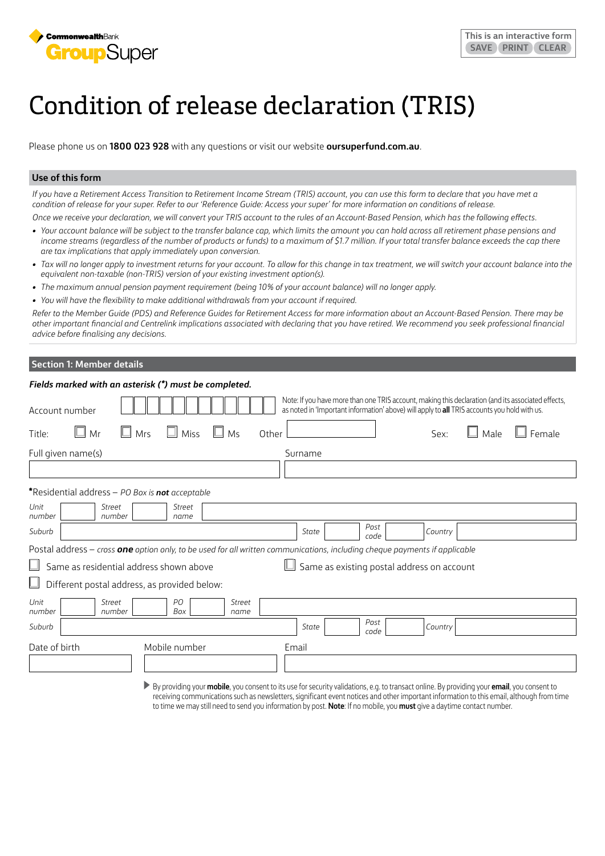

# Condition of release declaration (TRIS)

Please phone us on **1800 023 928** with any questions or visit our website **[oursuperfund.com.au](http://oursuperfund.com.au)**.

## **Use of this form**

*If you have a Retirement Access Transition to Retirement Income Stream (TRIS) account, you can use this form to declare that you have met a condition of release for your super. Refer to our 'Reference Guide: Access your super' for more information on conditions of release.*

*Once we receive your declaration, we will convert your TRIS account to the rules of an Account-Based Pension, which has the following effects.*

- Your account balance will be subject to the transfer balance cap, which limits the amount you can hold across all retirement phase pensions and *income streams (regardless of the number of products or funds) to a maximum of \$1.7 million. If your total transfer balance exceeds the cap there are tax implications that apply immediately upon conversion.*
- Tax will no longer apply to investment returns for your account. To allow for this change in tax treatment, we will switch your account balance into the *equivalent non-taxable (non-TRIS) version of your existing investment option(s).*
- *• The maximum annual pension payment requirement (being 10% of your account balance) will no longer apply.*
- *• You will have the flexibility to make additional withdrawals from your account if required.*

*Refer to the Member Guide (PDS) and Reference Guides for Retirement Access for more information about an Account-Based Pension. There may be other important financial and Centrelink implications associated with declaring that you have retired. We recommend you seek professional financial advice before finalising any decisions.*

## **Section 1: Member details**

| Fields marked with an asterisk (*) must be completed.                                                                                                                                                                |               |  |  |  |  |
|----------------------------------------------------------------------------------------------------------------------------------------------------------------------------------------------------------------------|---------------|--|--|--|--|
| Note: If you have more than one TRIS account, making this declaration (and its associated effects,<br>as noted in 'Important information' above) will apply to all TRIS accounts you hold with us.<br>Account number |               |  |  |  |  |
| $\Box$ Miss<br>$\Box$ Mrs<br>$\Box$ Mr<br>$\Box$ Ms<br>Male<br>Title:<br>Other<br>Sex:                                                                                                                               | $\Box$ Female |  |  |  |  |
| Full given name(s)<br>Surname                                                                                                                                                                                        |               |  |  |  |  |
|                                                                                                                                                                                                                      |               |  |  |  |  |
| *Residential address - PO Box is not acceptable                                                                                                                                                                      |               |  |  |  |  |
| Unit<br><b>Street</b><br><b>Street</b><br>number<br>number<br>name                                                                                                                                                   |               |  |  |  |  |
| Post<br>Suburb<br>State<br>Country<br>code                                                                                                                                                                           |               |  |  |  |  |
| Postal address - cross one option only, to be used for all written communications, including cheque payments if applicable                                                                                           |               |  |  |  |  |
| Same as residential address shown above<br>Same as existing postal address on account                                                                                                                                |               |  |  |  |  |
| Different postal address, as provided below:                                                                                                                                                                         |               |  |  |  |  |
| Unit<br>PO<br>Street<br>Street<br>number<br>number<br>Box<br>name                                                                                                                                                    |               |  |  |  |  |
| Post<br>Suburb<br>Country<br>State<br>code                                                                                                                                                                           |               |  |  |  |  |
| Date of birth<br>Mobile number<br>Email                                                                                                                                                                              |               |  |  |  |  |

 By providing your **mobile**, you consent to its use for security validations, e.g. to transact online. By providing your **email**, you consent to receiving communications such as newsletters, significant event notices and other important information to this email, although from time to time we may still need to send you information by post. **Note**: If no mobile, you **must** give a daytime contact number.